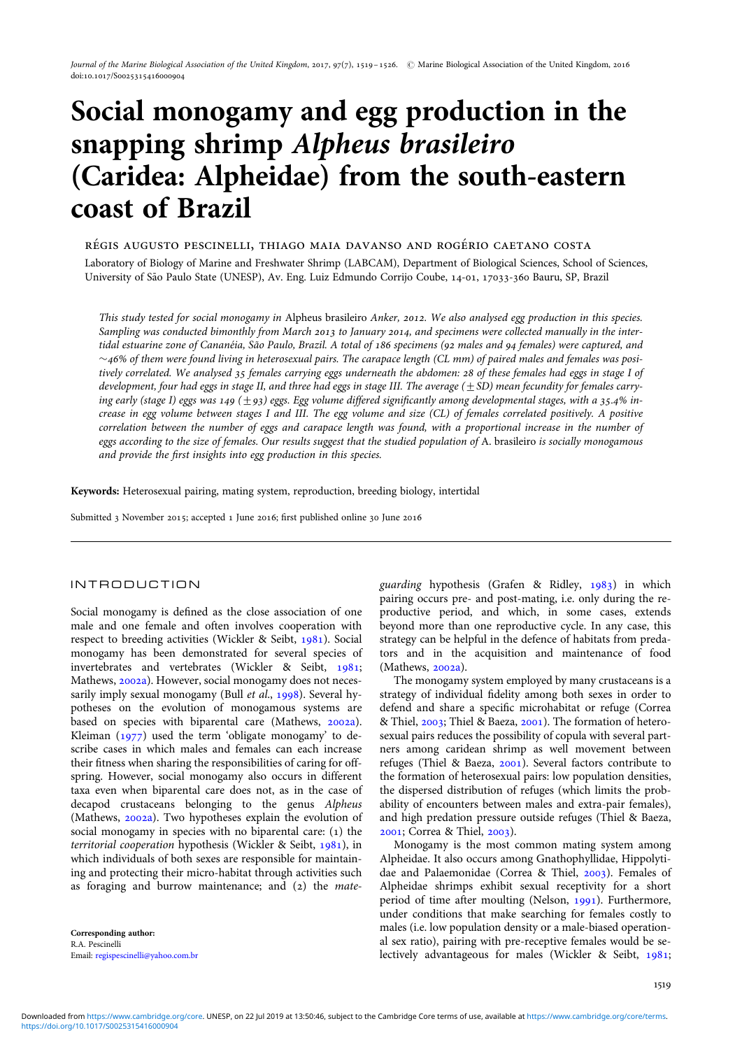# Social monogamy and egg production in the snapping shrimp Alpheus brasileiro (Caridea: Alpheidae) from the south-eastern coast of Brazil

RÉGIS AUGUSTO PESCINELLI, THIAGO MAIA DAVANSO AND ROGÉRIO CAETANO COSTA Laboratory of Biology of Marine and Freshwater Shrimp (LABCAM), Department of Biological Sciences, School of Sciences, University of Sa˜o Paulo State (UNESP), Av. Eng. Luiz Edmundo Corrijo Coube, 14-01, 17033-360 Bauru, SP, Brazil

This study tested for social monogamy in Alpheus brasileiro Anker, 2012. We also analysed egg production in this species. Sampling was conducted bimonthly from March 2013 to January 2014, and specimens were collected manually in the intertidal estuarine zone of Cananéia, São Paulo, Brazil. A total of 186 specimens (92 males and 94 females) were captured, and  $\sim$ 46% of them were found living in heterosexual pairs. The carapace length (CL mm) of paired males and females was positively correlated. We analysed 35 females carrying eggs underneath the abdomen: 28 of these females had eggs in stage I of development, four had eggs in stage II, and three had eggs in stage III. The average  $(\pm SD)$  mean fecundity for females carrying early (stage I) eggs was 149 ( $\pm$ 93) eggs. Egg volume differed significantly among developmental stages, with a 35.4% increase in egg volume between stages I and III. The egg volume and size (CL) of females correlated positively. A positive correlation between the number of eggs and carapace length was found, with a proportional increase in the number of eggs according to the size of females. Our results suggest that the studied population of A. brasileiro is socially monogamous and provide the first insights into egg production in this species.

Keywords: Heterosexual pairing, mating system, reproduction, breeding biology, intertidal

Submitted 3 November 2015; accepted 1 June 2016; first published online 30 June 2016

# INTRODUCTION

Social monogamy is defined as the close association of one male and one female and often involves cooperation with respect to breeding activities (Wickler & Seibt, [1981\)](#page-7-0). Social monogamy has been demonstrated for several species of invertebrates and vertebrates (Wickler & Seibt, [1981](#page-7-0); Mathews, [2002a\)](#page-6-0). However, social monogamy does not neces-sarily imply sexual monogamy (Bull et al., [1998\)](#page-6-0). Several hypotheses on the evolution of monogamous systems are based on species with biparental care (Mathews, [2002a](#page-6-0)). Kleiman  $(1977)$  used the term 'obligate monogamy' to describe cases in which males and females can each increase their fitness when sharing the responsibilities of caring for offspring. However, social monogamy also occurs in different taxa even when biparental care does not, as in the case of decapod crustaceans belonging to the genus Alpheus (Mathews, [2002a](#page-6-0)). Two hypotheses explain the evolution of social monogamy in species with no biparental care: (1) the territorial cooperation hypothesis (Wickler & Seibt, [1981\)](#page-7-0), in which individuals of both sexes are responsible for maintaining and protecting their micro-habitat through activities such as foraging and burrow maintenance; and (2) the mate-

Corresponding author: R.A. Pescinelli Email: [regispescinelli@yahoo.com.br](mailto:regispescinelli@yahoo.com.br) guarding hypothesis (Grafen & Ridley, [1983\)](#page-6-0) in which pairing occurs pre- and post-mating, i.e. only during the reproductive period, and which, in some cases, extends beyond more than one reproductive cycle. In any case, this strategy can be helpful in the defence of habitats from predators and in the acquisition and maintenance of food (Mathews, [2002a\)](#page-6-0).

The monogamy system employed by many crustaceans is a strategy of individual fidelity among both sexes in order to defend and share a specific microhabitat or refuge (Correa & Thiel, [2003](#page-6-0); Thiel & Baeza, [2001](#page-7-0)). The formation of heterosexual pairs reduces the possibility of copula with several partners among caridean shrimp as well movement between refuges (Thiel & Baeza, [2001\)](#page-7-0). Several factors contribute to the formation of heterosexual pairs: low population densities, the dispersed distribution of refuges (which limits the probability of encounters between males and extra-pair females), and high predation pressure outside refuges (Thiel & Baeza, [2001;](#page-7-0) Correa & Thiel, [2003](#page-6-0)).

Monogamy is the most common mating system among Alpheidae. It also occurs among Gnathophyllidae, Hippolytidae and Palaemonidae (Correa & Thiel, [2003\)](#page-6-0). Females of Alpheidae shrimps exhibit sexual receptivity for a short period of time after moulting (Nelson, [1991\)](#page-6-0). Furthermore, under conditions that make searching for females costly to males (i.e. low population density or a male-biased operational sex ratio), pairing with pre-receptive females would be selectively advantageous for males (Wickler & Seibt, [1981](#page-7-0);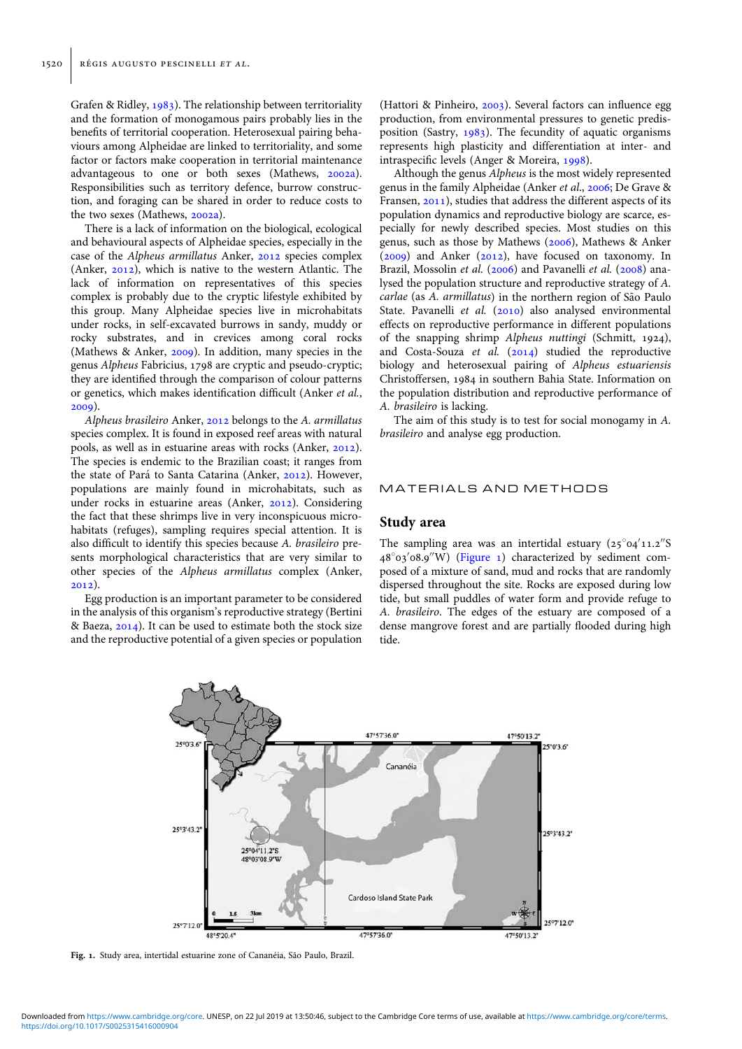Grafen & Ridley, [1983\)](#page-6-0). The relationship between territoriality and the formation of monogamous pairs probably lies in the benefits of territorial cooperation. Heterosexual pairing behaviours among Alpheidae are linked to territoriality, and some factor or factors make cooperation in territorial maintenance advantageous to one or both sexes (Mathews, [2002a](#page-6-0)). Responsibilities such as territory defence, burrow construction, and foraging can be shared in order to reduce costs to the two sexes (Mathews, [2002a\)](#page-6-0).

There is a lack of information on the biological, ecological and behavioural aspects of Alpheidae species, especially in the case of the Alpheus armillatus Anker, [2012](#page-5-0) species complex (Anker, [2012\)](#page-5-0), which is native to the western Atlantic. The lack of information on representatives of this species complex is probably due to the cryptic lifestyle exhibited by this group. Many Alpheidae species live in microhabitats under rocks, in self-excavated burrows in sandy, muddy or rocky substrates, and in crevices among coral rocks (Mathews & Anker, [2009](#page-6-0)). In addition, many species in the genus Alpheus Fabricius, 1798 are cryptic and pseudo-cryptic; they are identified through the comparison of colour patterns or genetics, which makes identification difficult (Anker et al., [2009\)](#page-5-0).

Alpheus brasileiro Anker, [2012](#page-5-0) belongs to the A. armillatus species complex. It is found in exposed reef areas with natural pools, as well as in estuarine areas with rocks (Anker, [2012](#page-5-0)). The species is endemic to the Brazilian coast; it ranges from the state of Pará to Santa Catarina (Anker, [2012\)](#page-5-0). However, populations are mainly found in microhabitats, such as under rocks in estuarine areas (Anker, [2012](#page-5-0)). Considering the fact that these shrimps live in very inconspicuous microhabitats (refuges), sampling requires special attention. It is also difficult to identify this species because A. brasileiro presents morphological characteristics that are very similar to other species of the Alpheus armillatus complex (Anker,  $2012)$ 

Egg production is an important parameter to be considered in the analysis of this organism's reproductive strategy (Bertini & Baeza, [2014\)](#page-6-0). It can be used to estimate both the stock size and the reproductive potential of a given species or population

(Hattori & Pinheiro, [2003\)](#page-6-0). Several factors can influence egg production, from environmental pressures to genetic predisposition (Sastry, [1983\)](#page-6-0). The fecundity of aquatic organisms represents high plasticity and differentiation at inter- and intraspecific levels (Anger & Moreira, [1998\)](#page-5-0).

Although the genus Alpheus is the most widely represented genus in the family Alpheidae (Anker et al., [2006](#page-5-0); De Grave & Fransen, [2011\)](#page-6-0), studies that address the different aspects of its population dynamics and reproductive biology are scarce, especially for newly described species. Most studies on this genus, such as those by Mathews [\(2006](#page-6-0)), Mathews & Anker  $(2009)$  $(2009)$  $(2009)$  and Anker  $(2012)$  $(2012)$ , have focused on taxonomy. In Brazil, Mossolin et al. [\(2006](#page-6-0)) and Pavanelli et al. [\(2008\)](#page-6-0) analysed the population structure and reproductive strategy of A. carlae (as A. armillatus) in the northern region of São Paulo State. Pavanelli et al. ([2010](#page-6-0)) also analysed environmental effects on reproductive performance in different populations of the snapping shrimp Alpheus nuttingi (Schmitt, 1924), and Costa-Souza et al.  $(2014)$  studied the reproductive biology and heterosexual pairing of Alpheus estuariensis Christoffersen, 1984 in southern Bahia State. Information on the population distribution and reproductive performance of A. brasileiro is lacking.

The aim of this study is to test for social monogamy in A. brasileiro and analyse egg production.

#### MATERIALS AND METHODS

#### Study area

The sampling area was an intertidal estuary  $(25°04'11.2''S)$ 48°03'08.9"W) (Figure 1) characterized by sediment composed of a mixture of sand, mud and rocks that are randomly dispersed throughout the site. Rocks are exposed during low tide, but small puddles of water form and provide refuge to A. brasileiro. The edges of the estuary are composed of a dense mangrove forest and are partially flooded during high tide.



Fig. 1. Study area, intertidal estuarine zone of Cananéia, São Paulo, Brazil.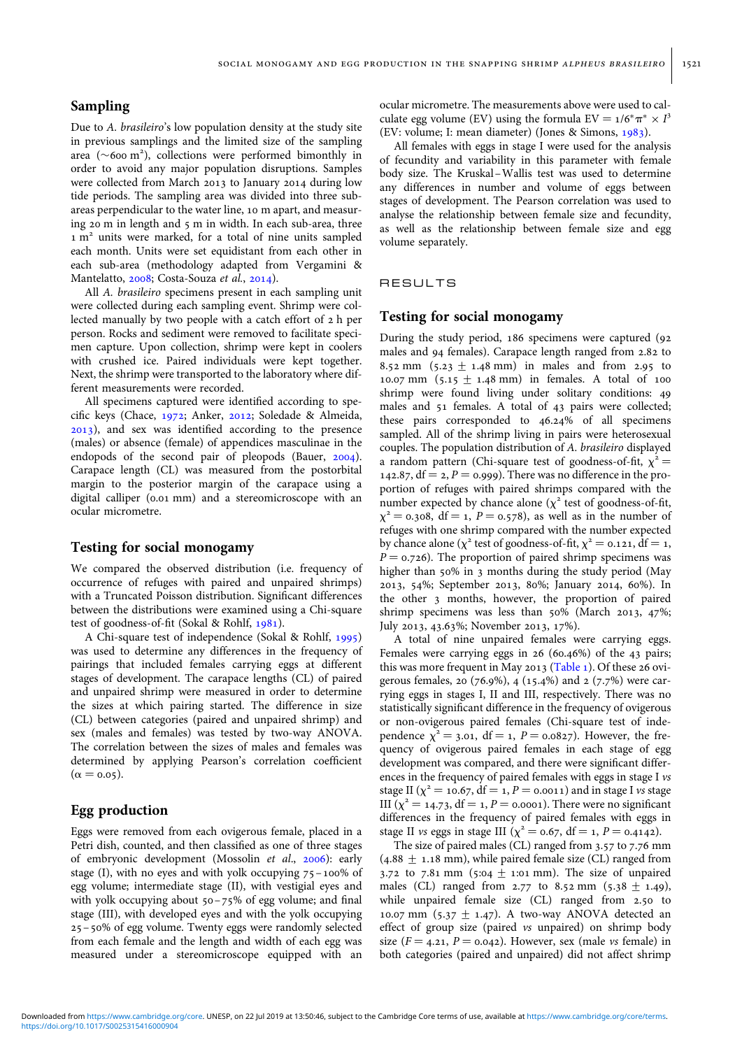# Sampling

Due to A. brasileiro's low population density at the study site in previous samplings and the limited size of the sampling area  $({\sim}600 \text{ m}^2)$ , collections were performed bimonthly in order to avoid any major population disruptions. Samples were collected from March 2013 to January 2014 during low tide periods. The sampling area was divided into three subareas perpendicular to the water line, 10 m apart, and measuring 20 m in length and 5 m in width. In each sub-area, three 1 m<sup>2</sup> units were marked, for a total of nine units sampled each month. Units were set equidistant from each other in each sub-area (methodology adapted from Vergamini & Mantelatto, [2008](#page-7-0); Costa-Souza et al., [2014](#page-6-0)).

All A. brasileiro specimens present in each sampling unit were collected during each sampling event. Shrimp were collected manually by two people with a catch effort of 2 h per person. Rocks and sediment were removed to facilitate specimen capture. Upon collection, shrimp were kept in coolers with crushed ice. Paired individuals were kept together. Next, the shrimp were transported to the laboratory where different measurements were recorded.

All specimens captured were identified according to specific keys (Chace, [1972;](#page-6-0) Anker, [2012;](#page-5-0) Soledade & Almeida, [2013\)](#page-7-0), and sex was identified according to the presence (males) or absence (female) of appendices masculinae in the endopods of the second pair of pleopods (Bauer, [2004](#page-6-0)). Carapace length (CL) was measured from the postorbital margin to the posterior margin of the carapace using a digital calliper (0.01 mm) and a stereomicroscope with an ocular micrometre.

#### Testing for social monogamy

We compared the observed distribution (i.e. frequency of occurrence of refuges with paired and unpaired shrimps) with a Truncated Poisson distribution. Significant differences between the distributions were examined using a Chi-square test of goodness-of-fit (Sokal & Rohlf, [1981](#page-6-0)).

A Chi-square test of independence (Sokal & Rohlf, [1995](#page-6-0)) was used to determine any differences in the frequency of pairings that included females carrying eggs at different stages of development. The carapace lengths (CL) of paired and unpaired shrimp were measured in order to determine the sizes at which pairing started. The difference in size (CL) between categories (paired and unpaired shrimp) and sex (males and females) was tested by two-way ANOVA. The correlation between the sizes of males and females was determined by applying Pearson's correlation coefficient  $(\alpha = 0.05)$ .

## Egg production

Eggs were removed from each ovigerous female, placed in a Petri dish, counted, and then classified as one of three stages of embryonic development (Mossolin et al., [2006](#page-6-0)): early stage (I), with no eyes and with yolk occupying  $75 - 100\%$  of egg volume; intermediate stage (II), with vestigial eyes and with yolk occupying about 50–75% of egg volume; and final stage (III), with developed eyes and with the yolk occupying 25 –50% of egg volume. Twenty eggs were randomly selected from each female and the length and width of each egg was measured under a stereomicroscope equipped with an ocular micrometre. The measurements above were used to calculate egg volume (EV) using the formula EV =  $1/6^* \pi^* \times I^3$ (EV: volume; I: mean diameter) (Jones & Simons, [1983](#page-6-0)).

All females with eggs in stage I were used for the analysis of fecundity and variability in this parameter with female body size. The Kruskal –Wallis test was used to determine any differences in number and volume of eggs between stages of development. The Pearson correlation was used to analyse the relationship between female size and fecundity, as well as the relationship between female size and egg volume separately.

## RESULTS

#### Testing for social monogamy

During the study period, 186 specimens were captured (92 males and 94 females). Carapace length ranged from 2.82 to 8.52 mm  $(5.23 + 1.48 \text{ mm})$  in males and from 2.95 to 10.07 mm  $(5.15 \pm 1.48 \text{ mm})$  in females. A total of 100 shrimp were found living under solitary conditions: 49 males and 51 females. A total of 43 pairs were collected; these pairs corresponded to 46.24% of all specimens sampled. All of the shrimp living in pairs were heterosexual couples. The population distribution of A. brasileiro displayed a random pattern (Chi-square test of goodness-of-fit,  $\chi^2$  = 142.87,  $df = 2$ ,  $P = 0.999$ . There was no difference in the proportion of refuges with paired shrimps compared with the number expected by chance alone ( $\chi^2$  test of goodness-of-fit,  $\chi^2$  = 0.308, df = 1, P = 0.578), as well as in the number of refuges with one shrimp compared with the number expected by chance alone ( $\chi^2$  test of goodness-of-fit,  $\chi^2$  = 0.121, df = 1,  $P = 0.726$ . The proportion of paired shrimp specimens was higher than 50% in 3 months during the study period (May 2013, 54%; September 2013, 80%; January 2014, 60%). In the other 3 months, however, the proportion of paired shrimp specimens was less than 50% (March 2013, 47%; July 2013, 43.63%; November 2013, 17%).

A total of nine unpaired females were carrying eggs. Females were carrying eggs in 26 (60.46%) of the 43 pairs; this was more frequent in May 2013 [\(Table 1](#page-3-0)). Of these 26 ovigerous females, 20 (76.9%), 4 (15.4%) and 2 (7.7%) were carrying eggs in stages I, II and III, respectively. There was no statistically significant difference in the frequency of ovigerous or non-ovigerous paired females (Chi-square test of independence  $\chi^2 = 3.01$ , df = 1, P = 0.0827). However, the frequency of ovigerous paired females in each stage of egg development was compared, and there were significant differences in the frequency of paired females with eggs in stage I vs stage II ( $\chi^2$  = 10.67, df = 1, P = 0.0011) and in stage I vs stage III ( $\chi^2$  = 14.73, df = 1, P = 0.0001). There were no significant differences in the frequency of paired females with eggs in stage II *vs* eggs in stage III ( $\chi^2 = 0.67$ , df = 1, P = 0.4142).

The size of paired males (CL) ranged from 3.57 to 7.76 mm  $(4.88 \pm 1.18 \text{ mm})$ , while paired female size (CL) ranged from 3.72 to 7.81 mm (5:04  $\pm$  1:01 mm). The size of unpaired males (CL) ranged from 2.77 to 8.52 mm (5.38  $\pm$  1.49), while unpaired female size (CL) ranged from 2.50 to 10.07 mm (5.37  $\pm$  1.47). A two-way ANOVA detected an effect of group size (paired vs unpaired) on shrimp body size ( $F = 4.21$ ,  $P = 0.042$ ). However, sex (male vs female) in both categories (paired and unpaired) did not affect shrimp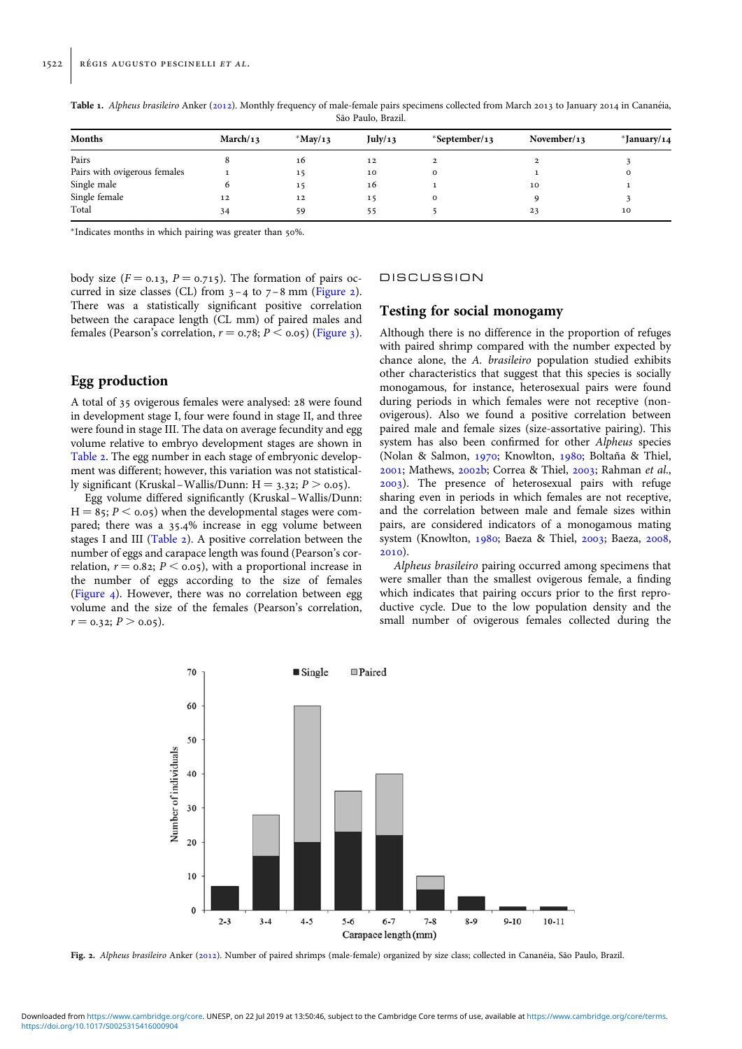| <b>Months</b>                | March/13 | $*$ May/13 | July/13 | $*September/13$ | November/13 | $*$ January/14 |
|------------------------------|----------|------------|---------|-----------------|-------------|----------------|
| Pairs                        |          | 16         | 12      |                 |             |                |
| Pairs with ovigerous females |          | 15         | 10      |                 |             |                |
| Single male                  |          | 15         | 16      |                 | 10          |                |
| Single female                | 12       | 12         | 15      |                 |             |                |
| Total                        | 34       | 59         | 55      |                 | 23          | 10             |

<span id="page-3-0"></span>Table 1. Alpheus brasileiro Anker ([2012\)](#page-5-0). Monthly frequency of male-female pairs specimens collected from March 2013 to January 2014 in Cananéia, São Paulo, Brazil.

<sup>∗</sup>Indicates months in which pairing was greater than 50%.

body size ( $F = 0.13$ ,  $P = 0.715$ ). The formation of pairs occurred in size classes (CL) from  $3-4$  to  $7-8$  mm (Figure 2). There was a statistically significant positive correlation between the carapace length (CL mm) of paired males and females (Pearson's correlation,  $r = 0.78$ ;  $P \le 0.05$ ) ([Figure 3](#page-4-0)).

# Egg production

A total of 35 ovigerous females were analysed: 28 were found in development stage I, four were found in stage II, and three were found in stage III. The data on average fecundity and egg volume relative to embryo development stages are shown in [Table 2.](#page-4-0) The egg number in each stage of embryonic development was different; however, this variation was not statistically significant (Kruskal – Wallis/Dunn: H = 3.32;  $P > 0.05$ ).

Egg volume differed significantly (Kruskal–Wallis/Dunn:  $H = 85$ ;  $P < 0.05$ ) when the developmental stages were compared; there was a 35.4% increase in egg volume between stages I and III [\(Table 2\)](#page-4-0). A positive correlation between the number of eggs and carapace length was found (Pearson's correlation,  $r = 0.82$ ;  $P \le 0.05$ , with a proportional increase in the number of eggs according to the size of females ([Figure 4\)](#page-4-0). However, there was no correlation between egg volume and the size of the females (Pearson's correlation,  $r = 0.32; P > 0.05$ .

#### **DISCUSSION**

# Testing for social monogamy

Although there is no difference in the proportion of refuges with paired shrimp compared with the number expected by chance alone, the A. brasileiro population studied exhibits other characteristics that suggest that this species is socially monogamous, for instance, heterosexual pairs were found during periods in which females were not receptive (nonovigerous). Also we found a positive correlation between paired male and female sizes (size-assortative pairing). This system has also been confirmed for other Alpheus species (Nolan & Salmon, [1970](#page-6-0); Knowlton, [1980](#page-6-0); Boltaña & Thiel, [2001;](#page-6-0) Mathews, [2002b;](#page-6-0) Correa & Thiel, [2003;](#page-6-0) Rahman et al., [2003\)](#page-6-0). The presence of heterosexual pairs with refuge sharing even in periods in which females are not receptive, and the correlation between male and female sizes within pairs, are considered indicators of a monogamous mating system (Knowlton, [1980](#page-6-0); Baeza & Thiel, [2003;](#page-6-0) Baeza, [2008](#page-6-0), [2010\)](#page-6-0).

Alpheus brasileiro pairing occurred among specimens that were smaller than the smallest ovigerous female, a finding which indicates that pairing occurs prior to the first reproductive cycle. Due to the low population density and the small number of ovigerous females collected during the



Fig. 2. Alpheus brasileiro Anker ([2012\)](#page-5-0). Number of paired shrimps (male-female) organized by size class; collected in Cananéia, São Paulo, Brazil.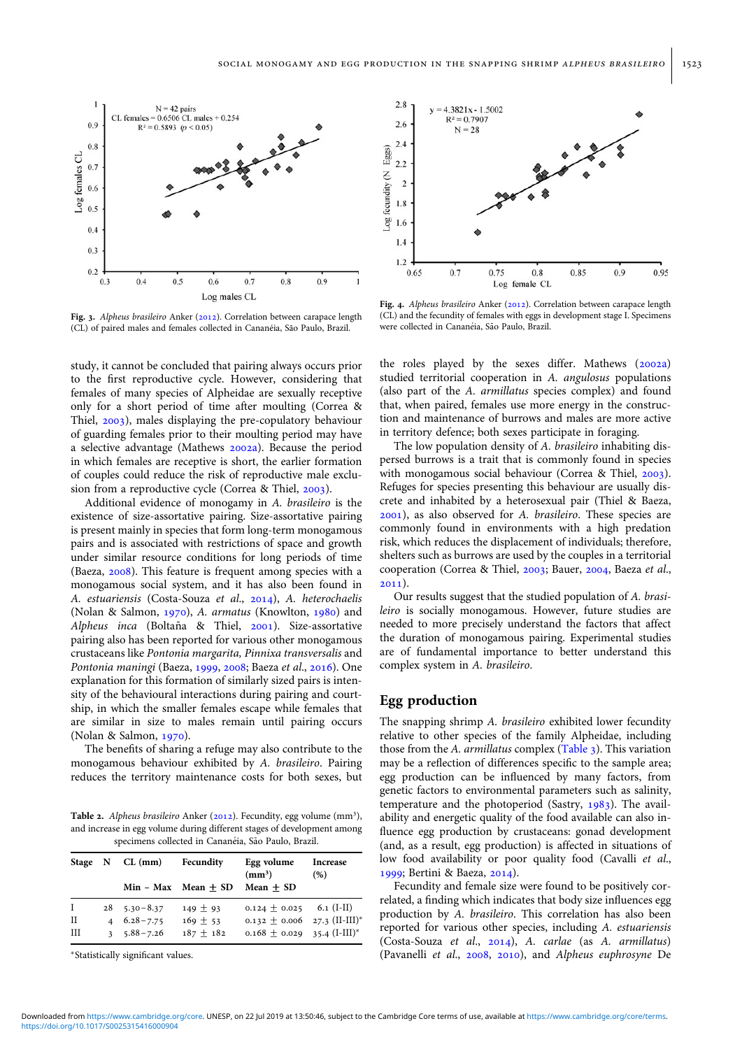<span id="page-4-0"></span>

Fig. 3. Alpheus brasileiro Anker [\(2012\)](#page-5-0). Correlation between carapace length (CL) of paired males and females collected in Cananéia, São Paulo, Brazil.

study, it cannot be concluded that pairing always occurs prior to the first reproductive cycle. However, considering that females of many species of Alpheidae are sexually receptive only for a short period of time after moulting (Correa & Thiel, [2003](#page-6-0)), males displaying the pre-copulatory behaviour of guarding females prior to their moulting period may have a selective advantage (Mathews [2002a\)](#page-6-0). Because the period in which females are receptive is short, the earlier formation of couples could reduce the risk of reproductive male exclusion from a reproductive cycle (Correa & Thiel, [2003](#page-6-0)).

Additional evidence of monogamy in A. brasileiro is the existence of size-assortative pairing. Size-assortative pairing is present mainly in species that form long-term monogamous pairs and is associated with restrictions of space and growth under similar resource conditions for long periods of time (Baeza, [2008](#page-6-0)). This feature is frequent among species with a monogamous social system, and it has also been found in A. estuariensis (Costa-Souza et al., [2014](#page-6-0)), A. heterochaelis (Nolan & Salmon, [1970](#page-6-0)), A. armatus (Knowlton, [1980\)](#page-6-0) and Alpheus inca (Boltaña & Thiel,  $2001$ ). Size-assortative pairing also has been reported for various other monogamous crustaceans like Pontonia margarita, Pinnixa transversalis and Pontonia maningi (Baeza, [1999,](#page-5-0) [2008](#page-6-0); Baeza et al., [2016\)](#page-6-0). One explanation for this formation of similarly sized pairs is intensity of the behavioural interactions during pairing and courtship, in which the smaller females escape while females that are similar in size to males remain until pairing occurs (Nolan & Salmon, [1970\)](#page-6-0).

The benefits of sharing a refuge may also contribute to the monogamous behaviour exhibited by A. brasileiro. Pairing reduces the territory maintenance costs for both sexes, but

Table 2. Alpheus brasileiro Anker [\(2012\)](#page-5-0). Fecundity, egg volume (mm<sup>3</sup>), and increase in egg volume during different stages of development among specimens collected in Cananéia, São Paulo, Brazil.

| Stage N |              | $CL$ (mm)            | Fecundity             | Egg volume<br>(mm <sup>3</sup> ) | <b>Increase</b><br>(%) |  |
|---------|--------------|----------------------|-----------------------|----------------------------------|------------------------|--|
|         |              |                      | $Min - Max Mean + SD$ | $Mean + SD$                      |                        |  |
| I       |              | $28$ $5.30 - 8.37$   | $149 + 93$            | $0.124 + 0.025$                  | $6.1$ (I-II)           |  |
| Н       |              | $4\quad 6.28 - 7.75$ | $169 \pm 53$          | 0.132 $\pm$ 0.006 27.3 (II-III)* |                        |  |
| Ш       | $\mathbf{a}$ | $5.88 - 7.26$        | $187 + 182$           | $0.168 \pm 0.029$ 35.4 (I-III)*  |                        |  |

<sup>∗</sup>Statistically significant values.



Fig. 4. Alpheus brasileiro Anker [\(2012\)](#page-5-0). Correlation between carapace length (CL) and the fecundity of females with eggs in development stage I. Specimens were collected in Cananéia, São Paulo, Brazil.

the roles played by the sexes differ. Mathews ([2002a](#page-6-0)) studied territorial cooperation in A. angulosus populations (also part of the A. armillatus species complex) and found that, when paired, females use more energy in the construction and maintenance of burrows and males are more active in territory defence; both sexes participate in foraging.

The low population density of A. brasileiro inhabiting dispersed burrows is a trait that is commonly found in species with monogamous social behaviour (Correa & Thiel, [2003](#page-6-0)). Refuges for species presenting this behaviour are usually discrete and inhabited by a heterosexual pair (Thiel & Baeza, [2001\)](#page-7-0), as also observed for A. brasileiro. These species are commonly found in environments with a high predation risk, which reduces the displacement of individuals; therefore, shelters such as burrows are used by the couples in a territorial cooperation (Correa & Thiel, [2003;](#page-6-0) Bauer, [2004](#page-6-0), Baeza et al., [2011\)](#page-6-0).

Our results suggest that the studied population of A. brasileiro is socially monogamous. However, future studies are needed to more precisely understand the factors that affect the duration of monogamous pairing. Experimental studies are of fundamental importance to better understand this complex system in A. brasileiro.

## Egg production

The snapping shrimp A. brasileiro exhibited lower fecundity relative to other species of the family Alpheidae, including those from the A. armillatus complex [\(Table 3](#page-5-0)). This variation may be a reflection of differences specific to the sample area; egg production can be influenced by many factors, from genetic factors to environmental parameters such as salinity, temperature and the photoperiod (Sastry,  $1983$ ). The availability and energetic quality of the food available can also influence egg production by crustaceans: gonad development (and, as a result, egg production) is affected in situations of low food availability or poor quality food (Cavalli et al., [1999;](#page-6-0) Bertini & Baeza, [2014](#page-6-0)).

Fecundity and female size were found to be positively correlated, a finding which indicates that body size influences egg production by A. brasileiro. This correlation has also been reported for various other species, including A. estuariensis (Costa-Souza et al., [2014\)](#page-6-0), A. carlae (as A. armillatus) (Pavanelli et al., [2008](#page-6-0), [2010](#page-6-0)), and Alpheus euphrosyne De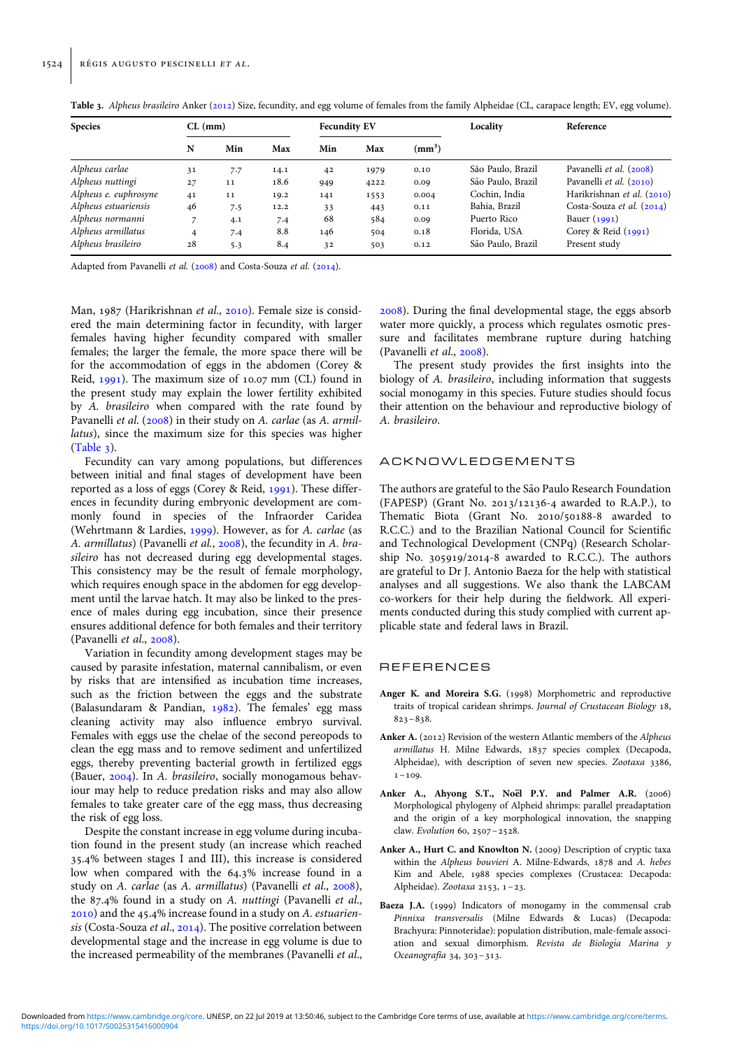| <b>Species</b>        | $CL$ (mm) |     |      | <b>Fecundity EV</b> |      |                    | Locality          | Reference                   |  |
|-----------------------|-----------|-----|------|---------------------|------|--------------------|-------------------|-----------------------------|--|
|                       | N         | Min | Max  | Min                 | Max  | (mm <sup>3</sup> ) |                   |                             |  |
| Alpheus carlae        | 31        | 7.7 | 14.1 | 42                  | 1979 | 0.10               | São Paulo, Brazil | Pavanelli et al. (2008)     |  |
| Alpheus nuttingi      | 27        | 11  | 18.6 | 949                 | 4222 | 0.09               | São Paulo, Brazil | Pavanelli et al. (2010)     |  |
| Alpheus e. euphrosyne | 41        | 11  | 19.2 | 141                 | 1553 | 0.004              | Cochin, India     | Harikrishnan et al. (2010)  |  |
| Alpheus estuariensis  | 46        | 7.5 | 12.2 | 33                  | 443  | 0.11               | Bahia, Brazil     | Costa-Souza et al. $(2014)$ |  |
| Alpheus normanni      |           | 4.1 | 7.4  | 68                  | 584  | 0.09               | Puerto Rico       | Bauer $(1991)$              |  |
| Alpheus armillatus    | 4         | 7.4 | 8.8  | 146                 | 504  | 0.18               | Florida, USA      | Corey & Reid $(1991)$       |  |
| Alpheus brasileiro    | 28        | 5.3 | 8.4  | 32                  | 503  | 0.12               | São Paulo, Brazil | Present study               |  |

<span id="page-5-0"></span>Table 3. Alpheus brasileiro Anker (2012) Size, fecundity, and egg volume of females from the family Alpheidae (CL, carapace length; EV, egg volume).

Adapted from Pavanelli et al. [\(2008\)](#page-6-0) and Costa-Souza et al. ([2014](#page-6-0)).

Man, 1987 (Harikrishnan et al., [2010\)](#page-6-0). Female size is considered the main determining factor in fecundity, with larger females having higher fecundity compared with smaller females; the larger the female, the more space there will be for the accommodation of eggs in the abdomen (Corey & Reid, [1991\)](#page-6-0). The maximum size of 10.07 mm (CL) found in the present study may explain the lower fertility exhibited by A. brasileiro when compared with the rate found by Pavanelli et al. [\(2008\)](#page-6-0) in their study on A. carlae (as A. armillatus), since the maximum size for this species was higher  $(Table 3)$ .

Fecundity can vary among populations, but differences between initial and final stages of development have been reported as a loss of eggs (Corey & Reid, [1991\)](#page-6-0). These differences in fecundity during embryonic development are commonly found in species of the Infraorder Caridea (Wehrtmann & Lardies, [1999](#page-7-0)). However, as for A. carlae (as A. armillatus) (Pavanelli et al., [2008](#page-6-0)), the fecundity in A. brasileiro has not decreased during egg developmental stages. This consistency may be the result of female morphology, which requires enough space in the abdomen for egg development until the larvae hatch. It may also be linked to the presence of males during egg incubation, since their presence ensures additional defence for both females and their territory (Pavanelli et al., [2008\)](#page-6-0).

Variation in fecundity among development stages may be caused by parasite infestation, maternal cannibalism, or even by risks that are intensified as incubation time increases, such as the friction between the eggs and the substrate (Balasundaram & Pandian, [1982\)](#page-6-0). The females' egg mass cleaning activity may also influence embryo survival. Females with eggs use the chelae of the second pereopods to clean the egg mass and to remove sediment and unfertilized eggs, thereby preventing bacterial growth in fertilized eggs (Bauer, [2004\)](#page-6-0). In A. brasileiro, socially monogamous behaviour may help to reduce predation risks and may also allow females to take greater care of the egg mass, thus decreasing the risk of egg loss.

Despite the constant increase in egg volume during incubation found in the present study (an increase which reached 35.4% between stages I and III), this increase is considered low when compared with the 64.3% increase found in a study on A. carlae (as A. armillatus) (Pavanelli et al., [2008](#page-6-0)), the 87.4% found in a study on A. nuttingi (Pavanelli et al., [2010\)](#page-6-0) and the 45.4% increase found in a study on A. estuarien-sis (Costa-Souza et al., [2014](#page-6-0)). The positive correlation between developmental stage and the increase in egg volume is due to the increased permeability of the membranes (Pavanelli et al., [2008\)](#page-6-0). During the final developmental stage, the eggs absorb water more quickly, a process which regulates osmotic pressure and facilitates membrane rupture during hatching (Pavanelli et al., [2008\)](#page-6-0).

The present study provides the first insights into the biology of A. brasileiro, including information that suggests social monogamy in this species. Future studies should focus their attention on the behaviour and reproductive biology of A. brasileiro.

# ACKNOWLEDGEMENTS

The authors are grateful to the São Paulo Research Foundation (FAPESP) (Grant No. 2013/12136-4 awarded to R.A.P.), to Thematic Biota (Grant No. 2010/50188-8 awarded to R.C.C.) and to the Brazilian National Council for Scientific and Technological Development (CNPq) (Research Scholarship No. 305919/2014-8 awarded to R.C.C.). The authors are grateful to Dr J. Antonio Baeza for the help with statistical analyses and all suggestions. We also thank the LABCAM co-workers for their help during the fieldwork. All experiments conducted during this study complied with current applicable state and federal laws in Brazil.

#### REFERENCES

- Anger K. and Moreira S.G. (1998) Morphometric and reproductive traits of tropical caridean shrimps. Journal of Crustacean Biology 18, 823–838.
- Anker A. (2012) Revision of the western Atlantic members of the Alpheus armillatus H. Milne Edwards, 1837 species complex (Decapoda, Alpheidae), with description of seven new species. Zootaxa 3386,  $1 - 109$ .
- Anker A., Ahyong S.T., Noël P.Y. and Palmer A.R. (2006) Morphological phylogeny of Alpheid shrimps: parallel preadaptation and the origin of a key morphological innovation, the snapping claw. Evolution 60, 2507–2528.
- Anker A., Hurt C. and Knowlton N. (2009) Description of cryptic taxa within the Alpheus bouvieri A. Milne-Edwards, 1878 and A. hebes Kim and Abele, 1988 species complexes (Crustacea: Decapoda: Alpheidae). Zootaxa 2153, 1 –23.
- Baeza J.A. (1999) Indicators of monogamy in the commensal crab Pinnixa transversalis (Milne Edwards & Lucas) (Decapoda: Brachyura: Pinnoteridae): population distribution, male-female association and sexual dimorphism. Revista de Biología Marina y Oceanografía 34, 303-313.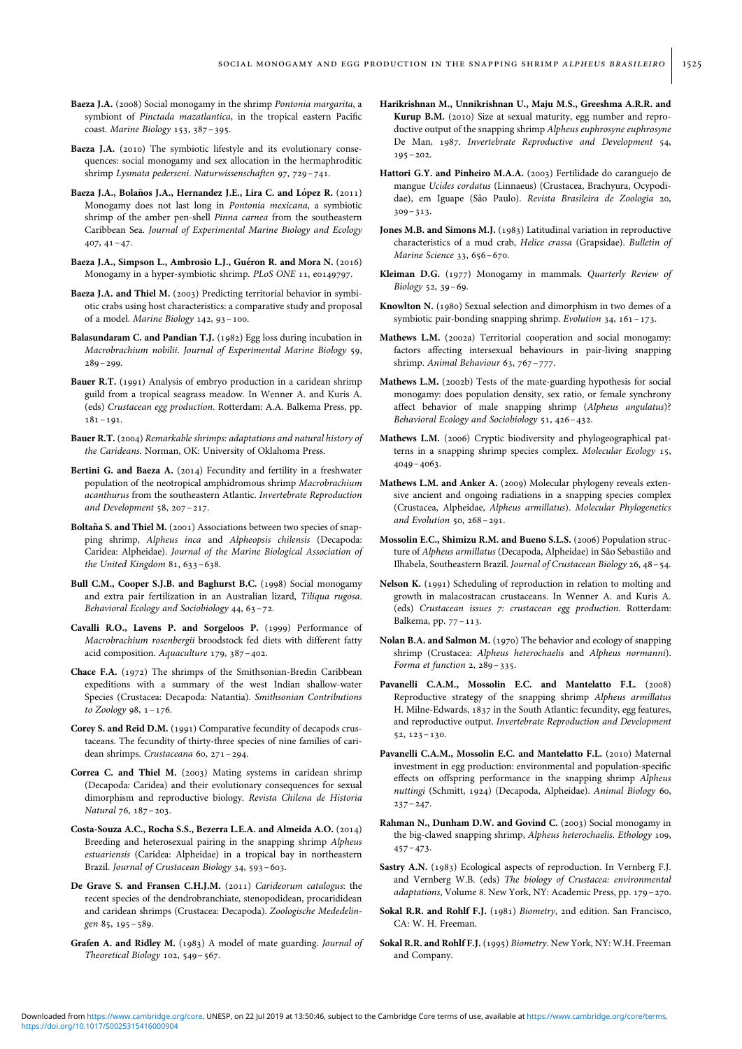- <span id="page-6-0"></span>Baeza J.A. (2008) Social monogamy in the shrimp Pontonia margarita, a symbiont of Pinctada mazatlantica, in the tropical eastern Pacific coast. Marine Biology 153, 387–395.
- Baeza J.A. (2010) The symbiotic lifestyle and its evolutionary consequences: social monogamy and sex allocation in the hermaphroditic shrimp Lysmata pederseni. Naturwissenschaften 97, 729–741.
- Baeza J.A., Bolaños J.A., Hernandez J.E., Lira C. and López R. (2011) Monogamy does not last long in Pontonia mexicana, a symbiotic shrimp of the amber pen-shell Pinna carnea from the southeastern Caribbean Sea. Journal of Experimental Marine Biology and Ecology  $407, 41-47.$
- Baeza J.A., Simpson L., Ambrosio L.J., Guéron R. and Mora N. (2016) Monogamy in a hyper-symbiotic shrimp. PLoS ONE 11, e0149797.
- Baeza J.A. and Thiel M. (2003) Predicting territorial behavior in symbiotic crabs using host characteristics: a comparative study and proposal of a model. Marine Biology 142, 93–100.
- Balasundaram C. and Pandian T.J. (1982) Egg loss during incubation in Macrobrachium nobilii. Journal of Experimental Marine Biology 59,  $289 - 299.$
- Bauer R.T. (1991) Analysis of embryo production in a caridean shrimp guild from a tropical seagrass meadow. In Wenner A. and Kuris A. (eds) Crustacean egg production. Rotterdam: A.A. Balkema Press, pp. 181–191.
- Bauer R.T. (2004) Remarkable shrimps: adaptations and natural history of the Carideans. Norman, OK: University of Oklahoma Press.
- Bertini G. and Baeza A. (2014) Fecundity and fertility in a freshwater population of the neotropical amphidromous shrimp Macrobrachium acanthurus from the southeastern Atlantic. Invertebrate Reproduction and Development 58, 207–217.
- Boltaña S. and Thiel M. (2001) Associations between two species of snapping shrimp, Alpheus inca and Alpheopsis chilensis (Decapoda: Caridea: Alpheidae). Journal of the Marine Biological Association of the United Kingdom 81, 633–638.
- Bull C.M., Cooper S.J.B. and Baghurst B.C. (1998) Social monogamy and extra pair fertilization in an Australian lizard, Tiliqua rugosa. Behavioral Ecology and Sociobiology 44, 63–72.
- Cavalli R.O., Lavens P. and Sorgeloos P. (1999) Performance of Macrobrachium rosenbergii broodstock fed diets with different fatty acid composition. Aquaculture 179, 387–402.
- Chace F.A. (1972) The shrimps of the Smithsonian-Bredin Caribbean expeditions with a summary of the west Indian shallow-water Species (Crustacea: Decapoda: Natantia). Smithsonian Contributions to Zoology 98, 1–176.
- Corey S. and Reid D.M. (1991) Comparative fecundity of decapods crustaceans. The fecundity of thirty-three species of nine families of caridean shrimps. Crustaceana 60, 271–294.
- Correa C. and Thiel M. (2003) Mating systems in caridean shrimp (Decapoda: Caridea) and their evolutionary consequences for sexual dimorphism and reproductive biology. Revista Chilena de Historia Natural 76, 187–203.
- Costa-Souza A.C., Rocha S.S., Bezerra L.E.A. and Almeida A.O. (2014) Breeding and heterosexual pairing in the snapping shrimp Alpheus estuariensis (Caridea: Alpheidae) in a tropical bay in northeastern Brazil. Journal of Crustacean Biology 34, 593–603.
- De Grave S. and Fransen C.H.J.M. (2011) Carideorum catalogus: the recent species of the dendrobranchiate, stenopodidean, procarididean and caridean shrimps (Crustacea: Decapoda). Zoologische Mededelingen 85, 195–589.
- Grafen A. and Ridley M. (1983) A model of mate guarding. Journal of Theoretical Biology 102, 549–567.
- Harikrishnan M., Unnikrishnan U., Maju M.S., Greeshma A.R.R. and Kurup B.M. (2010) Size at sexual maturity, egg number and reproductive output of the snapping shrimp Alpheus euphrosyne euphrosyne De Man, 1987. Invertebrate Reproductive and Development 54,  $195 - 202.$
- Hattori G.Y. and Pinheiro M.A.A. (2003) Fertilidade do caranguejo de mangue Ucides cordatus (Linnaeus) (Crustacea, Brachyura, Ocypodidae), em Iguape (São Paulo). Revista Brasileira de Zoologia 20, 309–313.
- Jones M.B. and Simons M.J. (1983) Latitudinal variation in reproductive characteristics of a mud crab, Helice crassa (Grapsidae). Bulletin of Marine Science 33, 656–670.
- Kleiman D.G. (1977) Monogamy in mammals. Quarterly Review of Biology 52, 39–69.
- Knowlton N. (1980) Sexual selection and dimorphism in two demes of a symbiotic pair-bonding snapping shrimp. Evolution 34, 161–173.
- Mathews L.M. (2002a) Territorial cooperation and social monogamy: factors affecting intersexual behaviours in pair-living snapping shrimp. Animal Behaviour 63, 767–777.
- Mathews L.M. (2002b) Tests of the mate-guarding hypothesis for social monogamy: does population density, sex ratio, or female synchrony affect behavior of male snapping shrimp (Alpheus angulatus)? Behavioral Ecology and Sociobiology 51, 426–432.
- Mathews L.M. (2006) Cryptic biodiversity and phylogeographical patterns in a snapping shrimp species complex. Molecular Ecology 15, 4049–4063.
- Mathews L.M. and Anker A. (2009) Molecular phylogeny reveals extensive ancient and ongoing radiations in a snapping species complex (Crustacea, Alpheidae, Alpheus armillatus). Molecular Phylogenetics and Evolution 50, 268–291.
- Mossolin E.C., Shimizu R.M. and Bueno S.L.S. (2006) Population structure of Alpheus armillatus (Decapoda, Alpheidae) in São Sebastião and Ilhabela, Southeastern Brazil. Journal of Crustacean Biology 26, 48–54.
- Nelson K. (1991) Scheduling of reproduction in relation to molting and growth in malacostracan crustaceans. In Wenner A. and Kuris A. (eds) Crustacean issues 7: crustacean egg production. Rotterdam: Balkema, pp. 77–113.
- Nolan B.A. and Salmon M. (1970) The behavior and ecology of snapping shrimp (Crustacea: Alpheus heterochaelis and Alpheus normanni). Forma et function 2, 289–335.
- Pavanelli C.A.M., Mossolin E.C. and Mantelatto F.L. (2008) Reproductive strategy of the snapping shrimp Alpheus armillatus H. Milne-Edwards, 1837 in the South Atlantic: fecundity, egg features, and reproductive output. Invertebrate Reproduction and Development 52, 123–130.
- Pavanelli C.A.M., Mossolin E.C. and Mantelatto F.L. (2010) Maternal investment in egg production: environmental and population-specific effects on offspring performance in the snapping shrimp Alpheus nuttingi (Schmitt, 1924) (Decapoda, Alpheidae). Animal Biology 60,  $237 - 247.$
- Rahman N., Dunham D.W. and Govind C. (2003) Social monogamy in the big-clawed snapping shrimp, Alpheus heterochaelis. Ethology 109,  $457 - 473.$
- Sastry A.N. (1983) Ecological aspects of reproduction. In Vernberg F.J. and Vernberg W.B. (eds) The biology of Crustacea: environmental adaptations, Volume 8. New York, NY: Academic Press, pp. 179–270.
- Sokal R.R. and Rohlf F.J. (1981) Biometry, 2nd edition. San Francisco, CA: W. H. Freeman.
- Sokal R.R. and Rohlf F.J. (1995) Biometry. New York, NY: W.H. Freeman and Company.